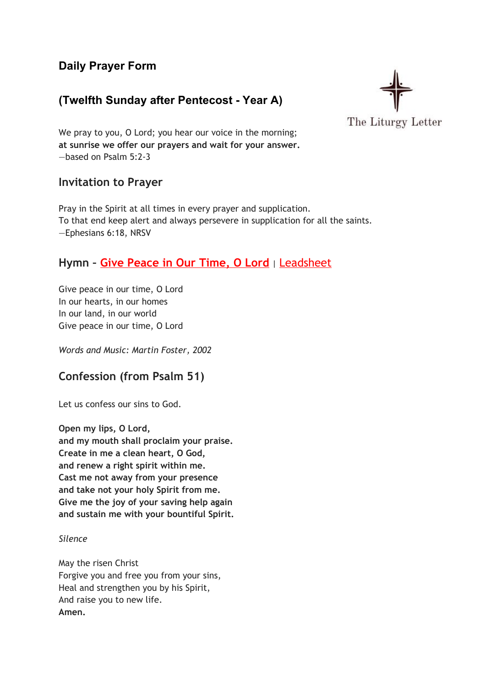# **Daily Prayer Form**

# **(Twelfth Sunday after Pentecost - Year A)**



We pray to you, O Lord; you hear our voice in the morning; **at sunrise we offer our prayers and wait for your answer.** —based on Psalm 5:2-3

### **Invitation to Prayer**

Pray in the Spirit at all times in every prayer and supplication. To that end keep alert and always persevere in supplication for all the saints. —Ephesians 6:18, NRSV

# **Hymn – Give [Peace](https://youtu.be/pZxkaPDzo7g) in Our Time, O Lord** <sup>|</sup> [Leadsheet](http://cdn.ocp.org/shared/pdf/preview/30102087.pdf)

Give peace in our time, O Lord In our hearts, in our homes In our land, in our world Give peace in our time, O Lord

*Words and Music: Martin Foster, 2002*

# **Confession (from Psalm 51)**

Let us confess our sins to God.

**Open my lips, O Lord, and my mouth shall proclaim your praise. Create in me a clean heart, O God, and renew a right spirit within me. Cast me not away from your presence and take not your holy Spirit from me. Give me the joy of your saving help again and sustain me with your bountiful Spirit.**

*Silence*

May the risen Christ Forgive you and free you from your sins, Heal and strengthen you by his Spirit, And raise you to new life. **Amen.**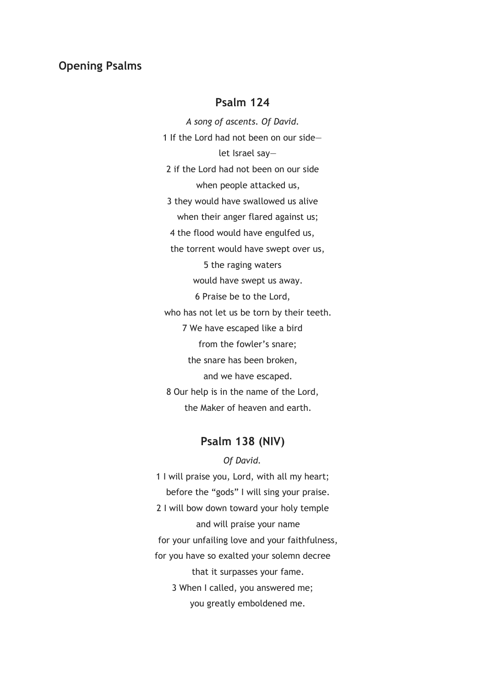#### **Opening Psalms**

### **Psalm 124**

*A song of ascents. Of David.* 1 If the Lord had not been on our side let Israel say— 2 if the Lord had not been on our side when people attacked us, 3 they would have swallowed us alive when their anger flared against us; 4 the flood would have engulfed us, the torrent would have swept over us, 5 the raging waters would have swept us away. 6 Praise be to the Lord, who has not let us be torn by their teeth. 7 We have escaped like a bird from the fowler's snare; the snare has been broken, and we have escaped. 8 Our help is in the name of the Lord, the Maker of heaven and earth.

#### **Psalm 138 (NIV)**

*Of David.* 1 I will praise you, Lord, with all my heart; before the "gods" I will sing your praise. 2 I will bow down toward your holy temple and will praise your name for your unfailing love and your faithfulness, for you have so exalted your solemn decree that it surpasses your fame. 3 When I called, you answered me; you greatly emboldened me.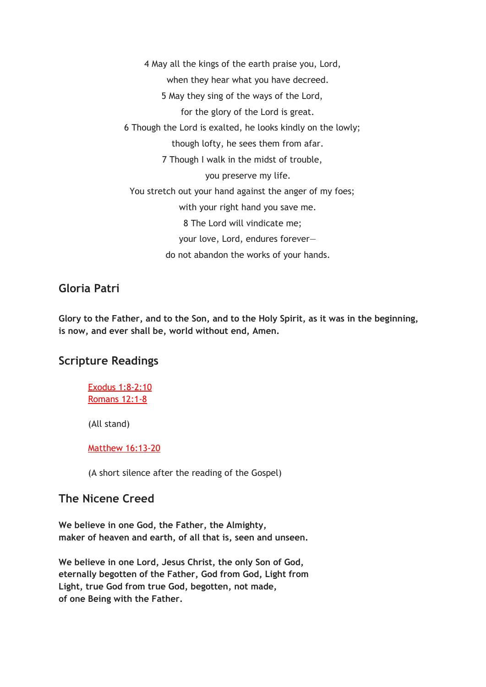4 May all the kings of the earth praise you, Lord, when they hear what you have decreed. 5 May they sing of the ways of the Lord, for the glory of the Lord is great. 6 Though the Lord is exalted, he looks kindly on the lowly; though lofty, he sees them from afar. 7 Though I walk in the midst of trouble, you preserve my life. You stretch out your hand against the anger of my foes; with your right hand you save me. 8 The Lord will vindicate me; your love, Lord, endures forever do not abandon the works of your hands.

### **Gloria Patri**

**Glory to the Father, and to the Son, and to the Holy Spirit, as it was in the beginning, is now, and ever shall be, world without end, Amen.**

## **Scripture Readings**

Exodus [1:8-2:10](https://www.biblegateway.com/passage/?search=Exodus+1%3A8-2%3A10%3BRomans+12%3A1-8%3BMatthew+16%3A13-20&version=NIV) [Romans](https://www.biblegateway.com/passage/?search=Exodus+1%3A8-2%3A10%3BRomans+12%3A1-8%3BMatthew+16%3A13-20&version=NIV) 12:1-8

(All stand)

#### Matthew [16:13-20](https://www.biblegateway.com/passage/?search=Exodus+1%3A8-2%3A10%3BRomans+12%3A1-8%3BMatthew+16%3A13-20&version=NIV)

(A short silence after the reading of the Gospel)

### **The Nicene Creed**

**We believe in one God, the Father, the Almighty, maker of heaven and earth, of all that is, seen and unseen.**

**We believe in one Lord, Jesus Christ, the only Son of God, eternally begotten of the Father, God from God, Light from Light, true God from true God, begotten, not made, of one Being with the Father.**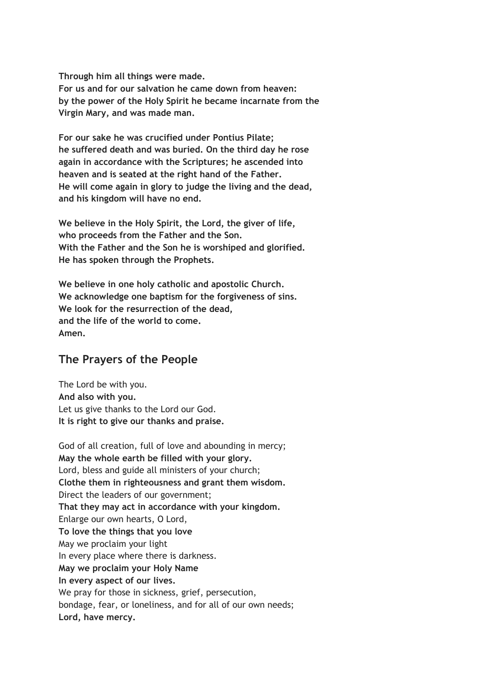**Through him all things were made. For us and for our salvation he came down from heaven: by the power of the Holy Spirit he became incarnate from the Virgin Mary, and was made man.**

**For our sake he was crucified under Pontius Pilate; he suffered death and was buried. On the third day he rose again in accordance with the Scriptures; he ascended into heaven and is seated at the right hand of the Father. He will come again in glory to judge the living and the dead, and his kingdom will have no end.**

**We believe in the Holy Spirit, the Lord, the giver of life, who proceeds from the Father and the Son. With the Father and the Son he is worshiped and glorified. He has spoken through the Prophets.**

**We believe in one holy catholic and apostolic Church. We acknowledge one baptism for the forgiveness of sins. We look for the resurrection of the dead, and the life of the world to come. Amen.**

# **The Prayers of the People**

The Lord be with you. **And also with you.** Let us give thanks to the Lord our God. **It is right to give our thanks and praise.**

God of all creation, full of love and abounding in mercy; **May the whole earth be filled with your glory.** Lord, bless and guide all ministers of your church; **Clothe them in righteousness and grant them wisdom.** Direct the leaders of our government; **That they may act in accordance with your kingdom.** Enlarge our own hearts, O Lord, **To love the things that you love** May we proclaim your light In every place where there is darkness. **May we proclaim your Holy Name In every aspect of our lives.** We pray for those in sickness, grief, persecution, bondage, fear, or loneliness, and for all of our own needs; **Lord, have mercy.**